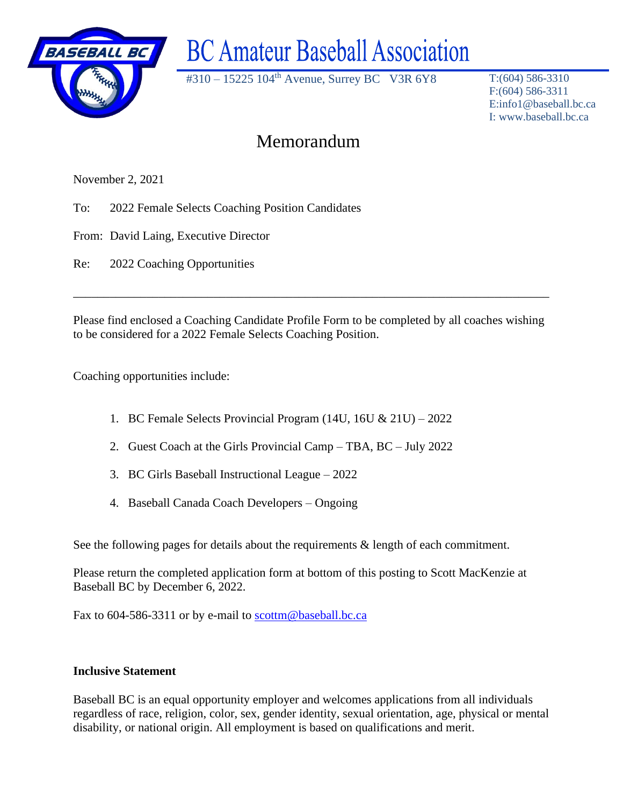

# **BC Amateur Baseball Association**

#310 – 15225 104th Avenue, Surrey BC V3R 6Y8 T:(604) 586-3310

F:(604) 586-3311 E:info1@baseball.bc.ca I: www.baseball.bc.ca

## Memorandum

November 2, 2021

To: 2022 Female Selects Coaching Position Candidates

From: David Laing, Executive Director

Re: 2022 Coaching Opportunities

Please find enclosed a Coaching Candidate Profile Form to be completed by all coaches wishing to be considered for a 2022 Female Selects Coaching Position.

\_\_\_\_\_\_\_\_\_\_\_\_\_\_\_\_\_\_\_\_\_\_\_\_\_\_\_\_\_\_\_\_\_\_\_\_\_\_\_\_\_\_\_\_\_\_\_\_\_\_\_\_\_\_\_\_\_\_\_\_\_\_\_\_\_\_\_\_\_\_\_\_\_\_\_\_\_\_

Coaching opportunities include:

- 1. BC Female Selects Provincial Program (14U, 16U & 21U) 2022
- 2. Guest Coach at the Girls Provincial Camp TBA, BC July 2022
- 3. BC Girls Baseball Instructional League 2022
- 4. Baseball Canada Coach Developers Ongoing

See the following pages for details about the requirements  $\&$  length of each commitment.

Please return the completed application form at bottom of this posting to Scott MacKenzie at Baseball BC by December 6, 2022.

Fax to 604-586-3311 or by e-mail to [scottm@baseball.bc.ca](mailto:scottm@baseball.bc.ca)

#### **Inclusive Statement**

Baseball BC is an equal opportunity employer and welcomes applications from all individuals regardless of race, religion, color, sex, gender identity, sexual orientation, age, physical or mental disability, or national origin. All employment is based on qualifications and merit.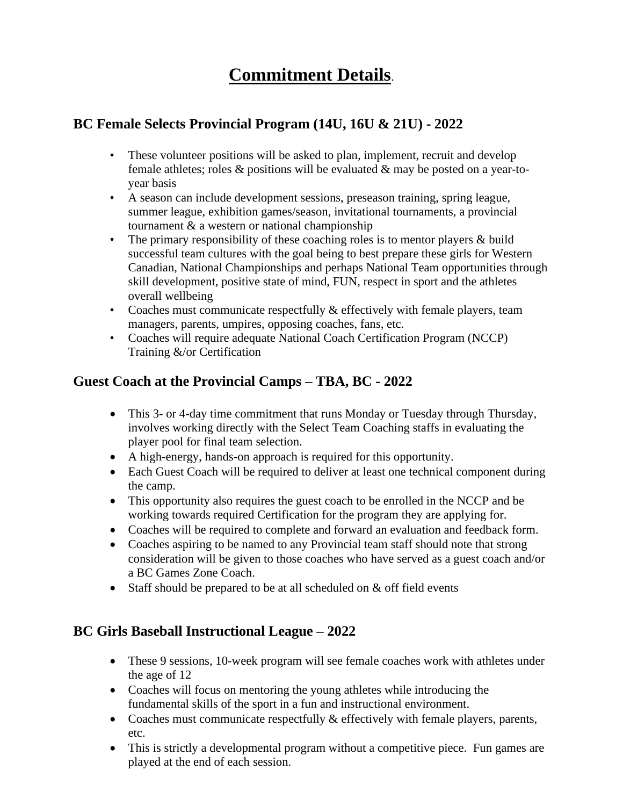# **Commitment Details**.

#### **BC Female Selects Provincial Program (14U, 16U & 21U) - 2022**

- These volunteer positions will be asked to plan, implement, recruit and develop female athletes; roles & positions will be evaluated & may be posted on a year-toyear basis
- A season can include development sessions, preseason training, spring league, summer league, exhibition games/season, invitational tournaments, a provincial tournament & a western or national championship
- The primary responsibility of these coaching roles is to mentor players & build successful team cultures with the goal being to best prepare these girls for Western Canadian, National Championships and perhaps National Team opportunities through skill development, positive state of mind, FUN, respect in sport and the athletes overall wellbeing
- Coaches must communicate respectfully & effectively with female players, team managers, parents, umpires, opposing coaches, fans, etc.
- Coaches will require adequate National Coach Certification Program (NCCP) Training &/or Certification

### **Guest Coach at the Provincial Camps – TBA, BC - 2022**

- This 3- or 4-day time commitment that runs Monday or Tuesday through Thursday, involves working directly with the Select Team Coaching staffs in evaluating the player pool for final team selection.
- A high-energy, hands-on approach is required for this opportunity.
- Each Guest Coach will be required to deliver at least one technical component during the camp.
- This opportunity also requires the guest coach to be enrolled in the NCCP and be working towards required Certification for the program they are applying for.
- Coaches will be required to complete and forward an evaluation and feedback form.
- Coaches aspiring to be named to any Provincial team staff should note that strong consideration will be given to those coaches who have served as a guest coach and/or a BC Games Zone Coach.
- Staff should be prepared to be at all scheduled on  $&$  off field events

## **BC Girls Baseball Instructional League – 2022**

- These 9 sessions, 10-week program will see female coaches work with athletes under the age of 12
- Coaches will focus on mentoring the young athletes while introducing the fundamental skills of the sport in a fun and instructional environment.
- Coaches must communicate respectfully  $\&$  effectively with female players, parents, etc.
- This is strictly a developmental program without a competitive piece. Fun games are played at the end of each session.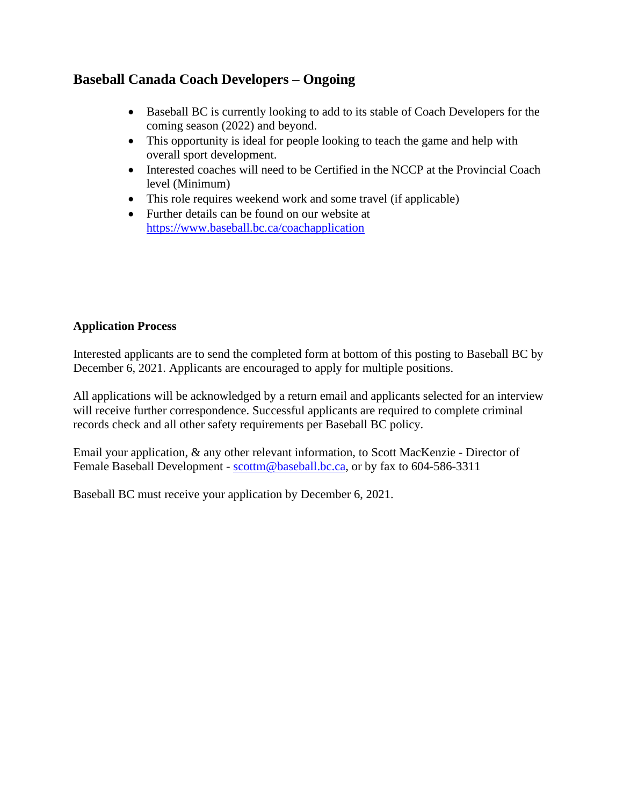#### **Baseball Canada Coach Developers – Ongoing**

- Baseball BC is currently looking to add to its stable of Coach Developers for the coming season (2022) and beyond.
- This opportunity is ideal for people looking to teach the game and help with overall sport development.
- Interested coaches will need to be Certified in the NCCP at the Provincial Coach level (Minimum)
- This role requires weekend work and some travel (if applicable)
- Further details can be found on our website at <https://www.baseball.bc.ca/coachapplication>

#### **Application Process**

Interested applicants are to send the completed form at bottom of this posting to Baseball BC by December 6, 2021. Applicants are encouraged to apply for multiple positions.

All applications will be acknowledged by a return email and applicants selected for an interview will receive further correspondence. Successful applicants are required to complete criminal records check and all other safety requirements per Baseball BC policy.

Email your application, & any other relevant information, to Scott MacKenzie - Director of Female Baseball Development - [scottm@baseball.bc.ca,](mailto:scottm@baseball.bc.ca) or by fax to 604-586-3311

Baseball BC must receive your application by December 6, 2021.